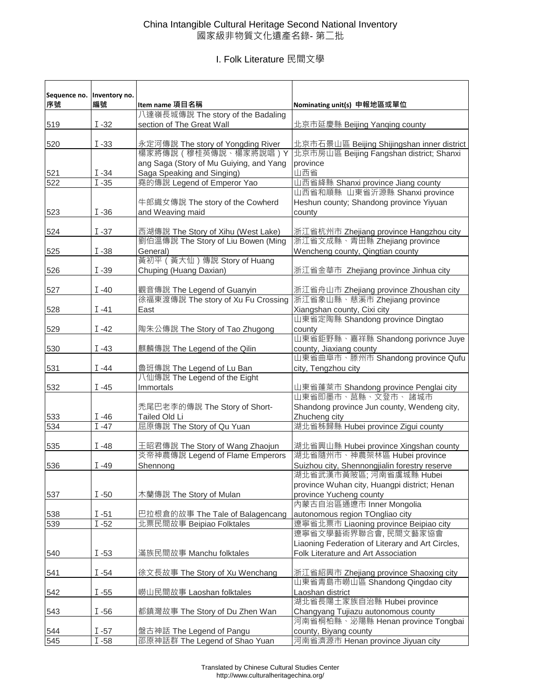## China Intangible Cultural Heritage Second National Inventory 國家級非物質文化遺產名錄- 第二批

## I. Folk Literature 民間文學

| Sequence no.<br>序號 | Inventory no.<br>編號 | Item name 項目名稱                          | Nominating unit(s) 申報地區或單位                                                             |
|--------------------|---------------------|-----------------------------------------|----------------------------------------------------------------------------------------|
|                    |                     | 八達嶺長城傳說 The story of the Badaling       |                                                                                        |
| 519                | $I - 32$            | section of The Great Wall               | 北京市延慶縣 Beijing Yanqing county                                                          |
| 520                | $I - 33$            | 永定河傳說 The story of Yongding River       |                                                                                        |
|                    |                     | 楊家將傳說 ( 穆桂英傳說 、楊家將說唱 ) Y                | 北京市石景山區 Beijing Shijingshan inner district<br>北京市房山區 Beijing Fangshan district; Shanxi |
|                    |                     | ang Saga (Story of Mu Guiying, and Yang | province                                                                               |
| 521                | $I - 34$            | Saga Speaking and Singing)              | 山西省                                                                                    |
| 522                | $I - 35$            | 堯的傳說 Legend of Emperor Yao              | 山西省絳縣 Shanxi province Jiang county                                                     |
|                    |                     |                                         | 山西省和順縣 山東省沂源縣 Shanxi province                                                          |
|                    |                     | 牛郎織女傳說 The story of the Cowherd         | Heshun county; Shandong province Yiyuan                                                |
| 523                | $I - 36$            | and Weaving maid                        | county                                                                                 |
|                    |                     |                                         |                                                                                        |
| 524                | $I - 37$            | 西湖傳說 The Story of Xihu (West Lake)      | 浙江省杭州市 Zhejiang province Hangzhou city                                                 |
|                    |                     | 劉伯溫傳說 The Story of Liu Bowen (Ming      | 浙江省文成縣、青田縣 Zhejiang province                                                           |
| 525                | $I - 38$            | General)                                | Wencheng county, Qingtian county                                                       |
|                    |                     | 黃初平 (黃大仙) 傳說 Story of Huang             |                                                                                        |
| 526                | $I - 39$            | Chuping (Huang Daxian)                  | 浙江省金華市 Zhejiang province Jinhua city                                                   |
|                    | $I - 40$            | 觀音傳說 The Legend of Guanyin              |                                                                                        |
| 527                |                     | 徐福東渡傳說 The story of Xu Fu Crossing      | 浙江省舟山市 Zhejiang province Zhoushan city<br>浙江省象山縣、慈溪市 Zhejiang province                 |
| 528                | I -41               | East                                    | Xiangshan county, Cixi city                                                            |
|                    |                     |                                         | 山東省定陶縣 Shandong province Dingtao                                                       |
| 529                | $I -42$             | 陶朱公傳說 The Story of Tao Zhugong          | county                                                                                 |
|                    |                     |                                         | 山東省鉅野縣、嘉祥縣 Shandong porivnce Juye                                                      |
| 530                | $I -43$             | 麒麟傳說 The Legend of the Qilin            | county, Jiaxiang county                                                                |
|                    |                     |                                         | 山東省曲阜市、滕州市 Shandong province Qufu                                                      |
| 531                | $I -44$             | 魯班傳說 The Legend of Lu Ban               | city, Tengzhou city                                                                    |
|                    |                     | 八仙傳說 The Legend of the Eight            |                                                                                        |
| 532                | $I -45$             | Immortals                               | 山東省蓬萊市 Shandong province Penglai city                                                  |
|                    |                     |                                         | 山東省即墨市、莒縣、文登市、諸城市                                                                      |
|                    |                     | 禿尾巴老李的傳說 The Story of Short-            | Shandong province Jun county, Wendeng city,                                            |
| 533                | $I - 46$            | Tailed Old Li                           | Zhucheng city                                                                          |
| 534                | $I -47$             | 屈原傳說 The Story of Qu Yuan               | 湖北省秭歸縣 Hubei province Zigui county                                                     |
| 535                | $I - 48$            | 王昭君傳說 The Story of Wang Zhaojun         | 湖北省興山縣 Hubei province Xingshan county                                                  |
|                    |                     | 炎帝神農傳說 Legend of Flame Emperors         | 湖北省隨州市、神農架林區 Hubei province                                                            |
| 536                | $I -49$             | Shennong                                | Suizhou city, Shennongjialin forestry reserve                                          |
|                    |                     |                                         | 湖北省武漢市黃陂區; 河南省虞城縣 Hubei                                                                |
|                    |                     |                                         | province Wuhan city, Huangpi district; Henan                                           |
| 537                | $I - 50$            | 木蘭傳說 The Story of Mulan                 | province Yucheng county                                                                |
|                    |                     |                                         | 內蒙古自治區通遼市 Inner Mongolia                                                               |
| 538                | $I - 51$            | 巴拉根倉的故事 The Tale of Balagencang         | autonomous region TOngliao city                                                        |
| 539                | $I - 52$            | 北票民間故事 Beipiao Folktales                | 遼寧省北票市 Liaoning province Beipiao city                                                  |
|                    |                     |                                         | 遼寧省文學藝術界聯合會,民間文藝家協會                                                                    |
|                    |                     |                                         | Liaoning Federation of Literary and Art Circles,                                       |
| 540                | $I - 53$            | 滿族民間故事 Manchu folktales                 | Folk Literature and Art Association                                                    |
|                    |                     |                                         |                                                                                        |
| 541                | $I - 54$            | 徐文長故事 The Story of Xu Wenchang          | 浙江省紹興市 Zhejiang province Shaoxing city<br>山東省青島市嶗山區 Shandong Qingdao city              |
| 542                | $I - 55$            | 嶗山民間故事 Laoshan folktales                | Laoshan district                                                                       |
|                    |                     |                                         | 湖北省長陽土家族自治縣 Hubei province                                                             |
| 543                | $I - 56$            | 都鎮灣故事 The Story of Du Zhen Wan          | Changyang Tujiazu autonomous county                                                    |
|                    |                     |                                         | 河南省桐柏縣、泌陽縣 Henan province Tongbai                                                      |
| 544                | $I - 57$            | 盤古神話 The Legend of Pangu                | county, Biyang county                                                                  |
| 545                | $\overline{I}$ -58  | 邵原神話群 The Legend of Shao Yuan           | 河南省濟源市 Henan province Jiyuan city                                                      |